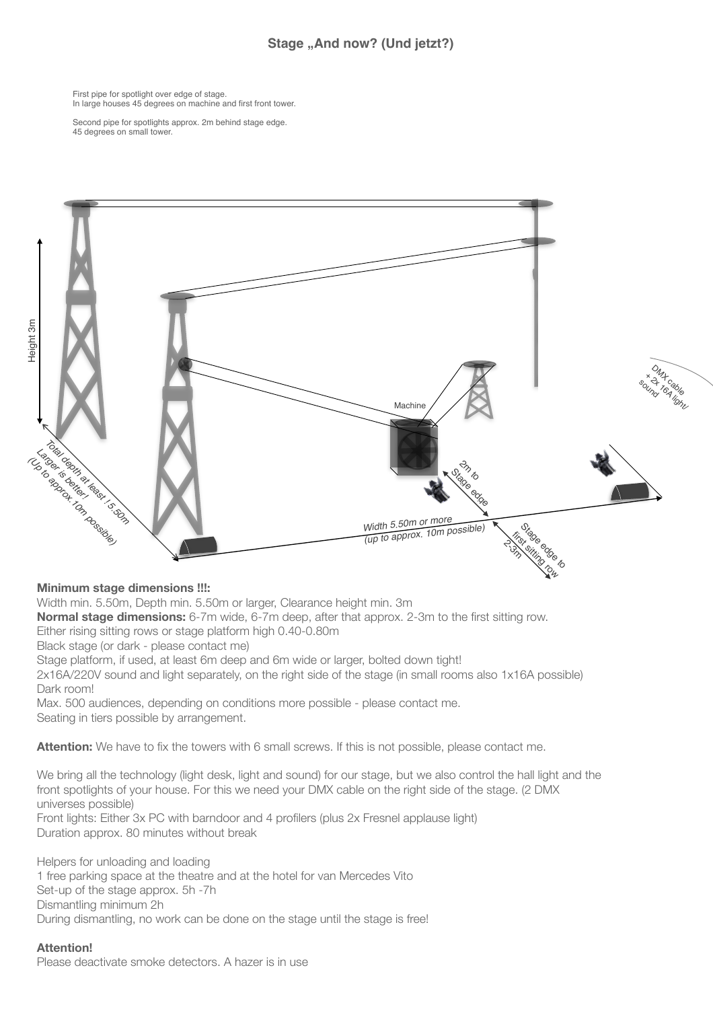## Stage "And now? (Und jetzt?)

First pipe for spotlight over edge of stage. In large houses 45 degrees on machine and first front tower.

Second pipe for spotlights approx. 2m behind stage edge. 45 degrees on small tower.



## **Minimum stage dimensions !!!:**

Width min. 5.50m, Depth min. 5.50m or larger, Clearance height min. 3m

**Normal stage dimensions:** 6-7m wide, 6-7m deep, after that approx. 2-3m to the first sitting row.

Either rising sitting rows or stage platform high 0.40-0.80m

Black stage (or dark - please contact me)

Stage platform, if used, at least 6m deep and 6m wide or larger, bolted down tight!

2x16A/220V sound and light separately, on the right side of the stage (in small rooms also 1x16A possible) Dark room!

Max. 500 audiences, depending on conditions more possible - please contact me. Seating in tiers possible by arrangement.

**Attention:** We have to fix the towers with 6 small screws. If this is not possible, please contact me.

We bring all the technology (light desk, light and sound) for our stage, but we also control the hall light and the front spotlights of your house. For this we need your DMX cable on the right side of the stage. (2 DMX universes possible) Front lights: Either 3x PC with barndoor and 4 profilers (plus 2x Fresnel applause light)

Duration approx. 80 minutes without break

Helpers for unloading and loading 1 free parking space at the theatre and at the hotel for van Mercedes Vito Set-up of the stage approx. 5h -7h Dismantling minimum 2h During dismantling, no work can be done on the stage until the stage is free!

**Attention!**  Please deactivate smoke detectors. A hazer is in use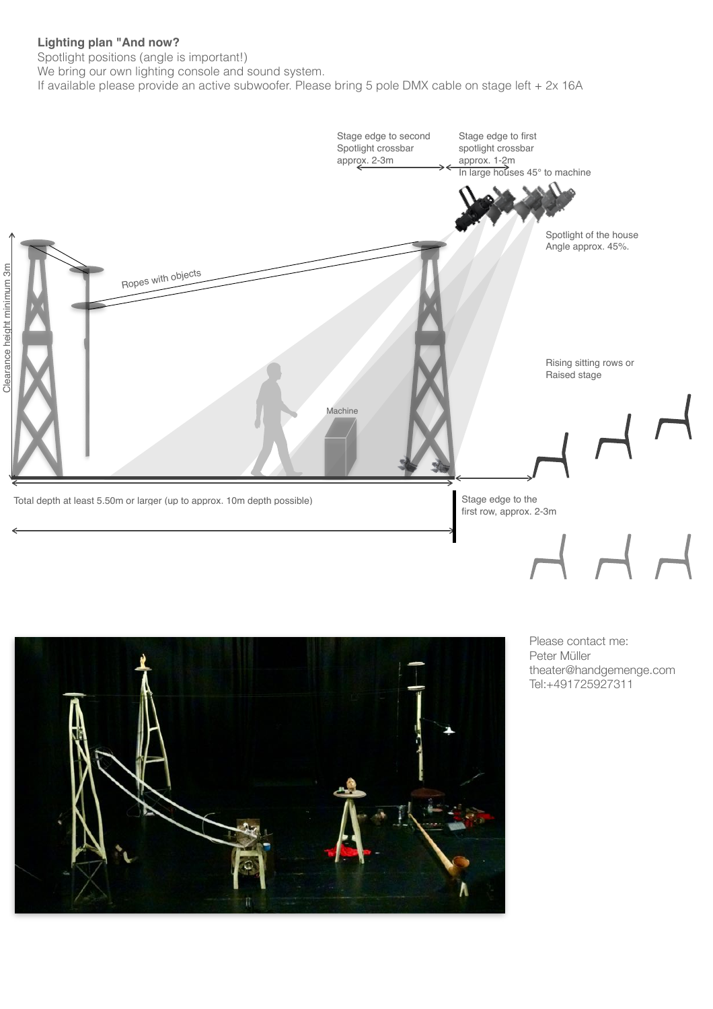## **Lighting plan "And now?**

Spotlight positions (angle is important!)

We bring our own lighting console and sound system.

If available please provide an active subwoofer. Please bring 5 pole DMX cable on stage left + 2x 16A





Please contact me: Peter Müller theater@handgemenge.com Tel:+491725927311